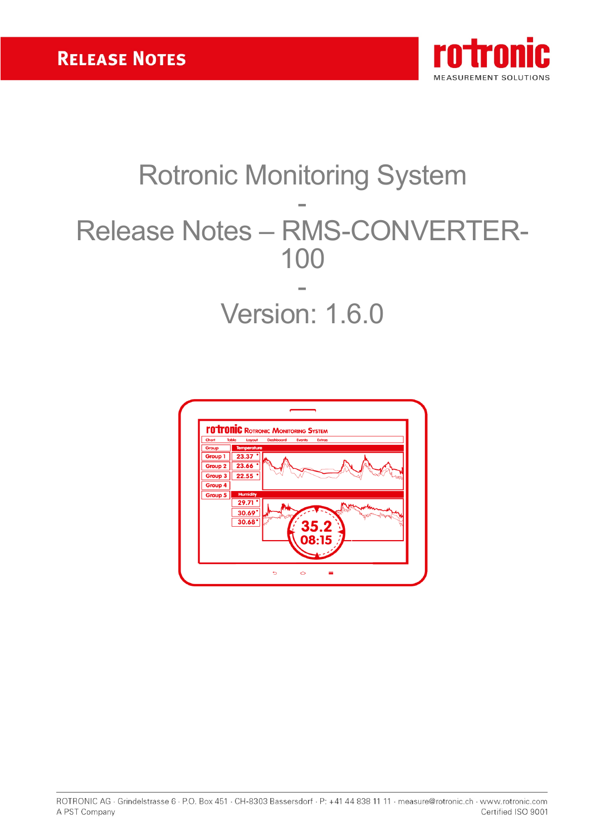

# Rotronic Monitoring System - Release Notes – RMS-CONVERTER-100 - Version: 1.6.0

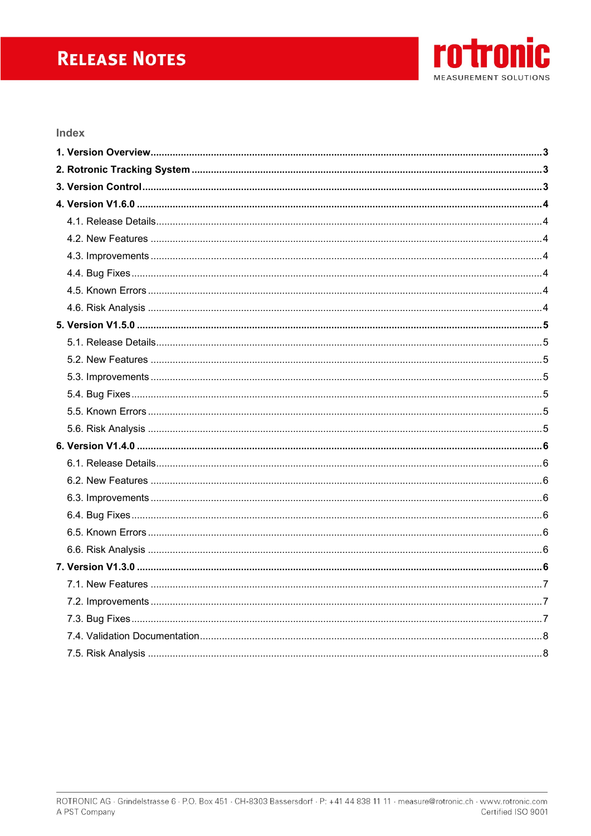# **RELEASE NOTES**



#### Index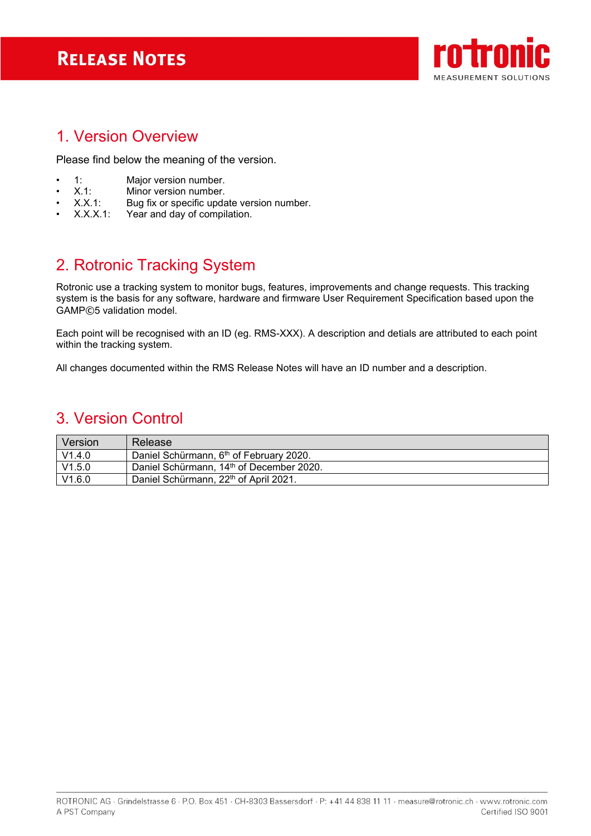# **RELEASE NOTES**



### <span id="page-2-0"></span>1. Version Overview

Please find below the meaning of the version.

- 1: Major version number.<br>• X.1: Minor version number.
- X.1: Minor version number.<br>• X.X.1: Bug fix or specific upda
- X.X.1: Bug fix or specific update version number.<br>X.X.X.1: Year and day of compilation.
- Year and day of compilation.

# <span id="page-2-1"></span>2. Rotronic Tracking System

Rotronic use a tracking system to monitor bugs, features, improvements and change requests. This tracking system is the basis for any software, hardware and firmware User Requirement Specification based upon the GAMP©5 validation model.

Each point will be recognised with an ID (eg. RMS-XXX). A description and detials are attributed to each point within the tracking system.

<span id="page-2-2"></span>All changes documented within the RMS Release Notes will have an ID number and a description.

### 3. Version Control

| Version | Release                                             |
|---------|-----------------------------------------------------|
| V1.4.0  | Daniel Schürmann, 6 <sup>th</sup> of February 2020. |
| V1.5.0  | Daniel Schürmann, 14th of December 2020.            |
| V1.6.0  | Daniel Schürmann, 22 <sup>th</sup> of April 2021.   |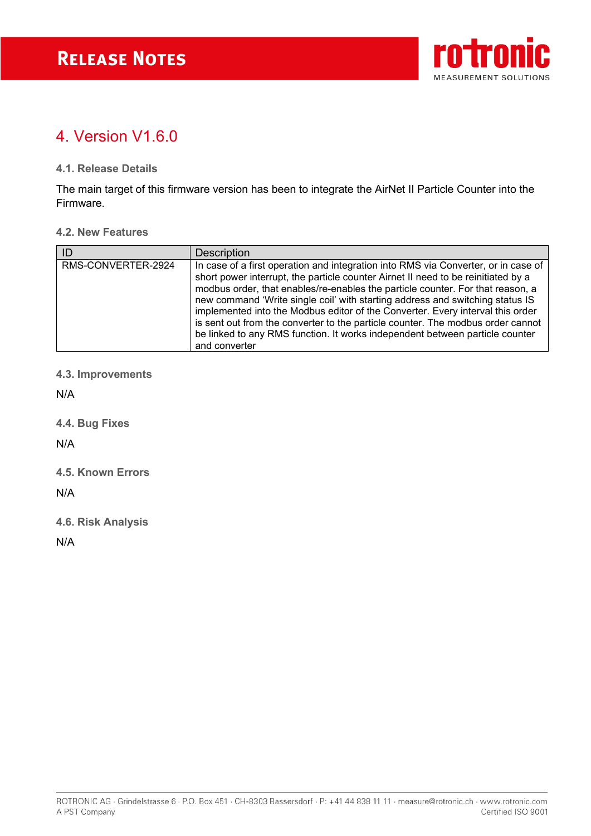

## <span id="page-3-0"></span>4 Version V1.6.0

#### <span id="page-3-1"></span>**4.1. Release Details**

The main target of this firmware version has been to integrate the AirNet II Particle Counter into the Firmware.

#### <span id="page-3-2"></span>**4.2. New Features**

| ID                 | <b>Description</b>                                                                                                                                                                                                                                                                                                                                                                                                                                                                                                                                                                                               |
|--------------------|------------------------------------------------------------------------------------------------------------------------------------------------------------------------------------------------------------------------------------------------------------------------------------------------------------------------------------------------------------------------------------------------------------------------------------------------------------------------------------------------------------------------------------------------------------------------------------------------------------------|
| RMS-CONVERTER-2924 | In case of a first operation and integration into RMS via Converter, or in case of<br>short power interrupt, the particle counter Airnet II need to be reinitiated by a<br>modbus order, that enables/re-enables the particle counter. For that reason, a<br>new command 'Write single coil' with starting address and switching status IS<br>implemented into the Modbus editor of the Converter. Every interval this order<br>is sent out from the converter to the particle counter. The modbus order cannot<br>be linked to any RMS function. It works independent between particle counter<br>and converter |

#### <span id="page-3-3"></span>**4.3. Improvements**

N/A

<span id="page-3-4"></span>**4.4. Bug Fixes**

N/A

<span id="page-3-5"></span>**4.5. Known Errors**

N/A

<span id="page-3-6"></span>**4.6. Risk Analysis**

N/A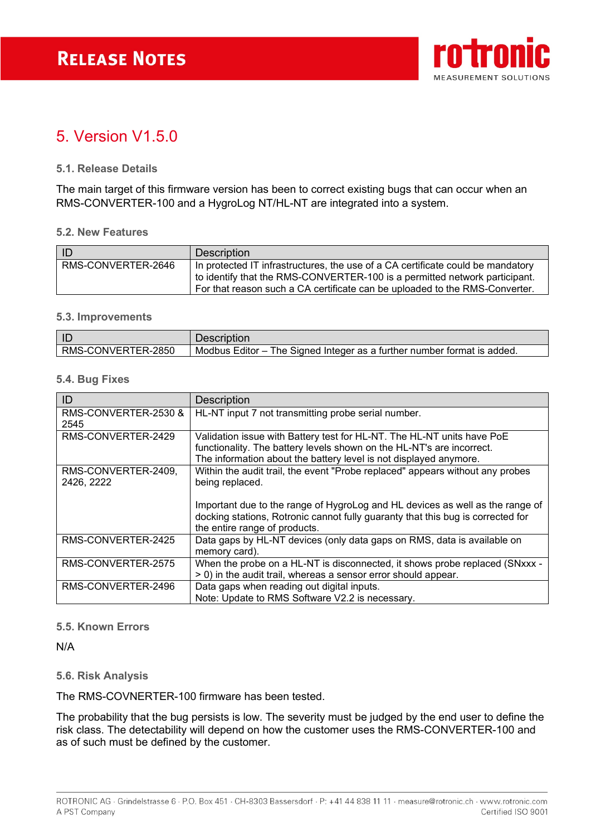

### <span id="page-4-0"></span>5. Version V1.5.0

#### <span id="page-4-1"></span>**5.1. Release Details**

The main target of this firmware version has been to correct existing bugs that can occur when an RMS-CONVERTER-100 and a HygroLog NT/HL-NT are integrated into a system.

#### <span id="page-4-2"></span>**5.2. New Features**

| -ID                | <b>Description</b>                                                                                                                                                                                                                           |
|--------------------|----------------------------------------------------------------------------------------------------------------------------------------------------------------------------------------------------------------------------------------------|
| RMS-CONVERTER-2646 | In protected IT infrastructures, the use of a CA certificate could be mandatory<br>to identify that the RMS-CONVERTER-100 is a permitted network participant.<br>For that reason such a CA certificate can be uploaded to the RMS-Converter. |

#### <span id="page-4-3"></span>**5.3. Improvements**

| ID                 | Description                                                                          |
|--------------------|--------------------------------------------------------------------------------------|
| RMS-CONVERTER-2850 | e Signed Integer as a further number format is added.<br>Modbus Editor $-1$<br>™he ∖ |

#### <span id="page-4-4"></span>**5.4. Bug Fixes**

| ID                                | <b>Description</b>                                                                                                                                                                                                   |
|-----------------------------------|----------------------------------------------------------------------------------------------------------------------------------------------------------------------------------------------------------------------|
| RMS-CONVERTER-2530 &<br>2545      | HL-NT input 7 not transmitting probe serial number.                                                                                                                                                                  |
| RMS-CONVERTER-2429                | Validation issue with Battery test for HL-NT. The HL-NT units have PoE<br>functionality. The battery levels shown on the HL-NT's are incorrect.<br>The information about the battery level is not displayed anymore. |
| RMS-CONVERTER-2409,<br>2426, 2222 | Within the audit trail, the event "Probe replaced" appears without any probes<br>being replaced.                                                                                                                     |
|                                   | Important due to the range of HygroLog and HL devices as well as the range of<br>docking stations, Rotronic cannot fully guaranty that this bug is corrected for<br>the entire range of products.                    |
| RMS-CONVERTER-2425                | Data gaps by HL-NT devices (only data gaps on RMS, data is available on<br>memory card).                                                                                                                             |
| RMS-CONVERTER-2575                | When the probe on a HL-NT is disconnected, it shows probe replaced (SNxxx -<br>> 0) in the audit trail, whereas a sensor error should appear.                                                                        |
| RMS-CONVERTER-2496                | Data gaps when reading out digital inputs.<br>Note: Update to RMS Software V2.2 is necessary.                                                                                                                        |

#### <span id="page-4-5"></span>**5.5. Known Errors**

N/A

#### <span id="page-4-6"></span>**5.6. Risk Analysis**

The RMS-COVNERTER-100 firmware has been tested.

The probability that the bug persists is low. The severity must be judged by the end user to define the risk class. The detectability will depend on how the customer uses the RMS-CONVERTER-100 and as of such must be defined by the customer.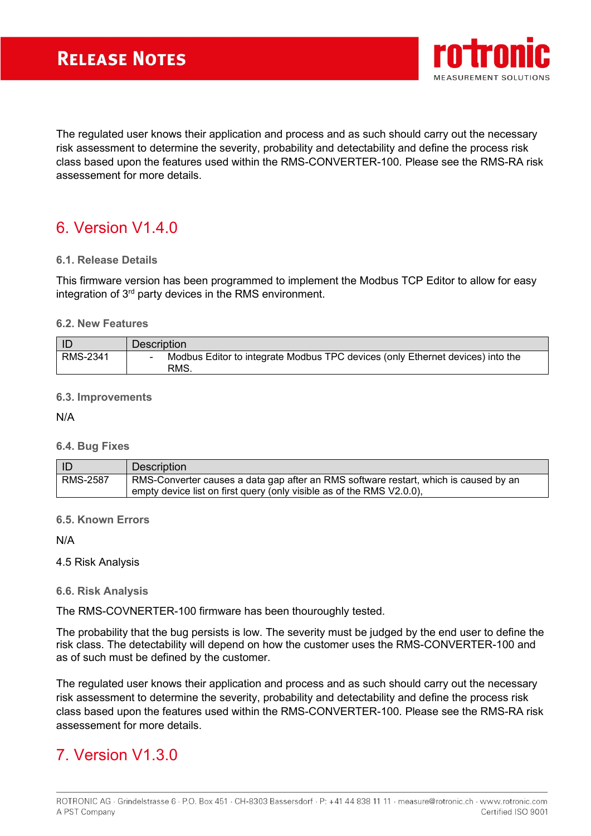

The regulated user knows their application and process and as such should carry out the necessary risk assessment to determine the severity, probability and detectability and define the process risk class based upon the features used within the RMS-CONVERTER-100. Please see the RMS-RA risk assessement for more details.

# <span id="page-5-0"></span>6. Version V1.4.0

#### <span id="page-5-1"></span>**6.1. Release Details**

This firmware version has been programmed to implement the Modbus TCP Editor to allow for easy integration of 3rd party devices in the RMS environment.

#### <span id="page-5-2"></span>**6.2. New Features**

| l IC     | <b>Description</b>                                                                     |
|----------|----------------------------------------------------------------------------------------|
| RMS-2341 | Modbus Editor to integrate Modbus TPC devices (only Ethernet devices) into the<br>RMS. |

#### <span id="page-5-3"></span>**6.3. Improvements**

N/A

#### <span id="page-5-4"></span>**6.4. Bug Fixes**

| I ID            | <b>Description</b>                                                                                                                                            |
|-----------------|---------------------------------------------------------------------------------------------------------------------------------------------------------------|
| <b>RMS-2587</b> | RMS-Converter causes a data gap after an RMS software restart, which is caused by an<br>empty device list on first query (only visible as of the RMS V2.0.0), |

#### <span id="page-5-5"></span>**6.5. Known Errors**

N/A

#### 4.5 Risk Analysis

#### <span id="page-5-6"></span>**6.6. Risk Analysis**

The RMS-COVNERTER-100 firmware has been thouroughly tested.

The probability that the bug persists is low. The severity must be judged by the end user to define the risk class. The detectability will depend on how the customer uses the RMS-CONVERTER-100 and as of such must be defined by the customer.

The regulated user knows their application and process and as such should carry out the necessary risk assessment to determine the severity, probability and detectability and define the process risk class based upon the features used within the RMS-CONVERTER-100. Please see the RMS-RA risk assessement for more details.

# <span id="page-5-7"></span>7. Version V1.3.0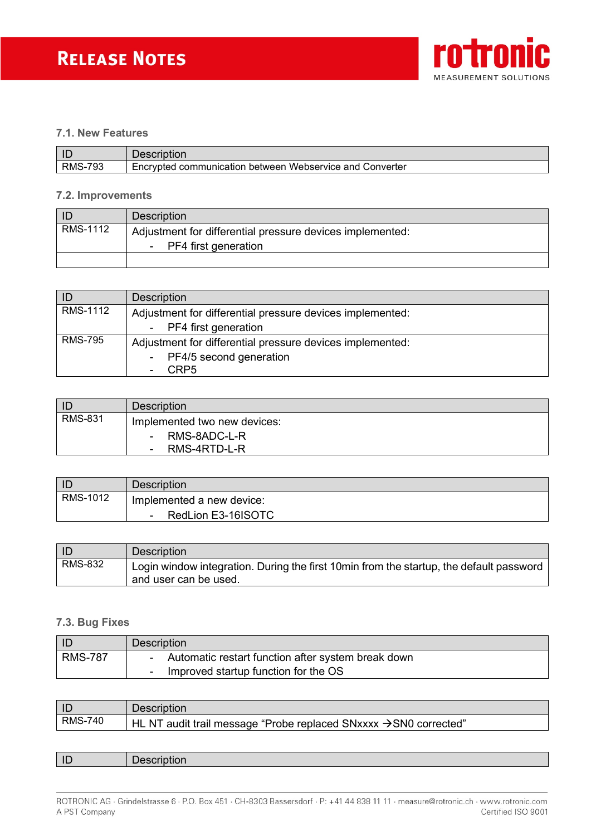

#### <span id="page-6-0"></span>**7.1. New Features**

| L            | <b>Description</b>     |
|--------------|------------------------|
| 793<br>RMS-, | Encrvpted<br>Converter |

#### <span id="page-6-1"></span>**7.2. Improvements**

| -ID      | <b>Description</b>                                                                  |
|----------|-------------------------------------------------------------------------------------|
| RMS-1112 | Adjustment for differential pressure devices implemented:<br>- PF4 first generation |
|          |                                                                                     |

| ID             | <b>Description</b>                                        |
|----------------|-----------------------------------------------------------|
| RMS-1112       | Adjustment for differential pressure devices implemented: |
|                | - PF4 first generation                                    |
| <b>RMS-795</b> | Adjustment for differential pressure devices implemented: |
|                | - PF4/5 second generation                                 |
|                | CRP <sub>5</sub><br>۰                                     |

| ID             | <b>Description</b>                                                               |
|----------------|----------------------------------------------------------------------------------|
| <b>RMS-831</b> | Implemented two new devices:<br>RMS-8ADC-L-R<br>$\sim$<br>RMS-4RTD-L-R<br>$\sim$ |

| D        | <b>Description</b>           |
|----------|------------------------------|
| RMS-1012 | Implemented a new device:    |
|          | RedLion E3-16ISOTC<br>$\sim$ |

| ID             | <b>Description</b>                                                                                               |
|----------------|------------------------------------------------------------------------------------------------------------------|
| <b>RMS-832</b> | Login window integration. During the first 10min from the startup, the default password<br>and user can be used. |

#### <span id="page-6-2"></span>**7.3. Bug Fixes**

|                | <b>Description</b>                                               |
|----------------|------------------------------------------------------------------|
| <b>RMS-787</b> | Automatic restart function after system break down               |
|                | Improved startup function for the OS<br>$\overline{\phantom{0}}$ |

| l IC    | <b>Description</b>                                                                           |
|---------|----------------------------------------------------------------------------------------------|
| RMS-740 | <code>  HL NT</code> audit trail message "Probe replaced SNxxxx $\rightarrow$ SN0 corrected" |

| $\mathbf{L}$ | $\cdots$<br>----- |
|--------------|-------------------|
|              |                   |